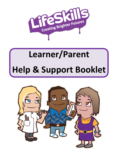

# **Learner/Parent Help & Support Booklet**

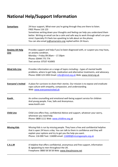# **National Help/Support Information**

| <b>Samaritans</b>                     | 24-hour support, What-ever you're going through they are there to listen.<br><b>FREE Phone 116 123</b><br>Sometimes writing down your thoughts and feeling can help you understand them<br>better. Writing an email can be a calm and safe way to work through what's on your<br>mind. Especially if it feels too upsetting to talk about on the phone.<br>You can also email jo@samariatns.org replied within 24 Hours. |
|---------------------------------------|--------------------------------------------------------------------------------------------------------------------------------------------------------------------------------------------------------------------------------------------------------------------------------------------------------------------------------------------------------------------------------------------------------------------------|
| <b>Anxiety UK Help</b><br><b>Line</b> | Provides support and help if you've been diagnosed with, or suspect you may have,<br>an anxiety condition.<br>Monday - Friday 09:30am - 17.30pm<br>Phone: 03444 775 774<br>Text service: 07537 416905                                                                                                                                                                                                                    |
| <b>Mind Info Line</b>                 | Provides information on a range of topics including - types of mental health<br>problems, where to get help, medication and alternative treatments, and advocacy.<br>Phone: 0300 123 3393 Email: infor@mind.org.uk Web: www.mind.org.uk                                                                                                                                                                                  |
| <b>Everyone's Invited</b>             | A place for survivors to share their stories. Our mission is to expose and eradicate<br>rape culture with empathy, compassion, and understanding.<br>Web: www.everyonesinvited.uk                                                                                                                                                                                                                                        |
| <b>Kooth</b>                          | An online counselling and emotional well-being support service for children<br>And young people. Free, Safe and Anonymous.<br>www.kooth.com                                                                                                                                                                                                                                                                              |
| <b>Child Line</b>                     | Child Line offers free, confidential Advice and support, whatever your worry,<br>whenever you need help.<br>Phone: 0800 1111 Web: www.childline.org.uk                                                                                                                                                                                                                                                                   |
| <b>Missing Kids</b>                   | Missing Kids is run by missing people. They have a free and confidential helpline<br>that is open 24 hours a day. You can talk to them in confidence and they will<br>explain your options and try to get you the help you want.<br>Phone: 116 000 Text: 116000 email: 116000@missingpeople.org.uk                                                                                                                       |
| <b>C.A.L.M</b>                        | A helpline that offers confidential, anonymous and free support, information<br>& signposting to men throughout the UK.<br>Freephone: 0800 58 58 58 Web: www.thecalmzone.net                                                                                                                                                                                                                                             |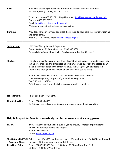| <b>Beat</b>            | A helpline providing support and information relating to eating disorders<br>For adults, young people, and their carers. |  |  |
|------------------------|--------------------------------------------------------------------------------------------------------------------------|--|--|
|                        | Youth Help Line 0808 801 0711 Help Line email: fyp@beateatingdisorders.org.uk<br>General: 0808 801 0677                  |  |  |
|                        | Email: help@beateatingdisorders.org.uk                                                                                   |  |  |
|                        | Web: www.beateatingdisorders.org.uk/contact-us                                                                           |  |  |
| <b>Harmless</b>        | Provides a range of services about self-harm including support, information, training,<br>and consultancy.               |  |  |
|                        | Phone: 0115 880 0280 Web: www.harmless.org.uk                                                                            |  |  |
| Switchboard            | LGBTQI+ Offering Advice & Support -                                                                                      |  |  |
|                        | Open 10:00am - 22:00pm Every day 0300 330 0630                                                                           |  |  |
|                        | Or email chris@switchboard.lgbt (Emails answered within 72 hours)                                                        |  |  |
| <b>The Mix</b>         | The Mix is a charity that provides free information and support for under 25's. They                                     |  |  |
|                        | can help you take on the embarrassing problems, weird question and please-don't-                                         |  |  |
|                        | make-me-say-it-out-loud thoughts you have. The Mix gives young people the                                                |  |  |
|                        | support and tools you need to take on any challenge you're facing.                                                       |  |  |
|                        | Phone: 0808 808 4994 (Open 7 days per week 16:00pm - 23:00pm)                                                            |  |  |
|                        | Crisis Messenger (24/7 support if you need help right now)                                                               |  |  |
|                        | Text THE MIX to 85258                                                                                                    |  |  |
|                        | Or Visit www.themix.org.uk - Where you can send in questions                                                             |  |  |
|                        |                                                                                                                          |  |  |
| Jobcentre Plus         | To make a claim for Benefit.                                                                                             |  |  |
| <b>New Claims Line</b> | Phone: 0800 055 6688                                                                                                     |  |  |
|                        | Or Visit www.gov.uk/contact-jobcentre-plus/new-benefit-claims on Line                                                    |  |  |

# **Help & Support for Parents or somebody that is concerned about a young person**

**NSPCC** If you're worried about a child, even if you're unsure, contact our professional counsellors for help, advice and support. Phone: 0808 800 5000 Or Visi[t www.nspcc.org.uk](http://www.nspcc.org.uk/)

\_\_\_\_\_\_\_\_\_\_\_\_\_\_\_\_\_\_\_\_\_\_\_\_\_\_\_\_\_\_\_\_\_\_\_\_\_\_\_\_\_\_\_\_\_\_\_\_\_\_\_\_\_\_\_\_\_\_\_\_\_\_\_\_\_\_\_\_\_\_\_\_\_\_\_\_\_\_\_\_\_\_\_\_\_\_\_

**The National LGBTQI** Galop is the UK's LGBT+ anti-abuse charity. We work with and for LGBT+ victims and **+ Domestic Abuse** survivors of interpersonal abuse and violence. **Help Line (Galop)** Phone: 0800 999 5428 Open – 10:00am – 17:00pm Mon, Tue, Fri & 10:00am – 10:00pm Wed & Thur

\_\_\_\_\_\_\_\_\_\_\_\_\_\_\_\_\_\_\_\_\_\_\_\_\_\_\_\_\_\_\_\_\_\_\_\_\_\_\_\_\_\_\_\_\_\_\_\_\_\_\_\_\_\_\_\_\_\_\_\_\_\_\_\_\_\_\_\_\_\_\_\_\_\_\_\_\_\_\_\_\_\_\_\_\_\_\_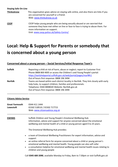#### **Staying Safe On-Line**

**Thinkuknow** This organisation gives advice on staying safe online, and also there are links if you are concerned for yourself or a friend. Web: [www.thinkuknow.co.uk](http://www.thinkuknow.co.uk/) 

**CEOP** CEOP helps young people who are being sexually abused or are worried that someone they have met either on line or face to face is trying to abuse them. For more information on support. Visit: [www.ceop.police.uk/Safety-Centre/](http://www.ceop.police.uk/Safety-Centre/)

# **Local: Help & Support for Parents or somebody that is concerned about a young person**

### **Concerned about a young person – Social Services/Initial Response Team's**

| <b>Suffolk</b> | Reporting a child at risk of harm, abuse or neglect; report to Customer First<br>Phone 0808 800 4005 or access the Children's and Young People's portal:<br>https://earlyhelpportal.suffolk.gov.uk/web/portal/pages/marf#h1 |
|----------------|-----------------------------------------------------------------------------------------------------------------------------------------------------------------------------------------------------------------------------|
|                | Out of hours first response: 0808 196 3494                                                                                                                                                                                  |
| <b>Norfolk</b> | Teams are based within each district locality in Norfolk. They link closely with early                                                                                                                                      |
|                | help hubs, to support children, families and professionals.                                                                                                                                                                 |
|                | Telephone: 0344 8008020 Website: Norfolk.gov.uk                                                                                                                                                                             |
|                | Out of hours first response: 0808 196 3494                                                                                                                                                                                  |

\_\_\_\_\_\_\_\_\_\_\_\_\_\_\_\_\_\_ \_\_\_\_\_\_\_\_\_\_\_\_\_\_\_\_\_\_\_\_\_\_\_\_\_\_\_\_\_\_\_\_\_\_\_\_\_\_\_\_\_\_\_\_\_\_\_\_\_\_\_\_\_\_\_\_\_\_\_\_\_\_\_\_\_\_\_\_

#### **Citizens Advice Service**

| <b>Great Yarmouth</b><br>Lowestoft | 0344 411 1444<br>01502 518510 / 01502 717715<br>Web: www.citizensadvice.org.uk                                                                                                                                                                                                                                                                                                                                   |
|------------------------------------|------------------------------------------------------------------------------------------------------------------------------------------------------------------------------------------------------------------------------------------------------------------------------------------------------------------------------------------------------------------------------------------------------------------|
| <b>EWHMS</b>                       | Suffolk Children and Young People's Emotional Wellbeing Hub<br>Information, advice and support for anyone concerned about the emotional<br>wellbeing and mental health of a child or young person aged 0 to 25 years.<br>The Emotional Wellbeing Hub provides:                                                                                                                                                   |
|                                    | a team of Emotional Wellbeing Practitioners for expert information, advice and<br>$\bullet$<br>support<br>an online referral form for anyone concerned about a child or young person's<br>$\bullet$<br>emotional wellbeing and mental health. Young people can also self-refer<br>a consultation helpline for emotional wellbeing and mental health issues relating to<br>$\bullet$<br>children and young people |
|                                    | Call 0345 600 2090, available Monday to Friday, 8am to 7:30pm or visit Suffolk.gov.uk                                                                                                                                                                                                                                                                                                                            |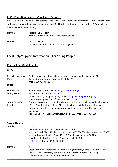# **EHC – Education Health & Care Plan – Requests**

An [EHC plan](https://www.norfolk.gov.uk/children-and-families/send-local-offer/support-for-learning) is for under 25s with complex special educational needs and disabilities (SEND). Most children and young people with special educational needs (SEN) will have their needs met with [SEN Support](https://www.norfolk.gov.uk/children-and-families/send-local-offer/support-for-learning) in a mainstream education setting.

\_\_\_\_\_\_\_\_\_\_\_\_\_\_\_\_\_\_\_\_\_\_\_\_\_\_\_\_\_\_\_\_\_\_\_\_\_\_\_\_\_\_\_\_\_\_\_\_\_\_\_\_\_\_\_\_\_\_\_\_\_\_\_\_\_\_\_\_\_\_\_\_\_\_\_\_\_\_\_\_\_\_\_\_

| <b>Norfolk</b> | Norfolk - EHCP Team<br>Phone: 01603 679183 Web: www.norfolk.gov.uk  |
|----------------|---------------------------------------------------------------------|
| <b>Suffolk</b> | Send Local Offer<br>Tel: 0345 606 1490 Web: Infolink.suffolk.gov.uk |

# **Local Help/Support Information – For Young People**

# **Counselling/Mental Health**

**Norfolk**

| Norfolk & Waveny   | Youth Counselling - Counselling for young people aged Between 16 - 18                      |
|--------------------|--------------------------------------------------------------------------------------------|
| Mind               | 28 - 31 Dene Side, Great Yarmouth, NR30 3AX                                                |
|                    | Phone: 0300 330 5488                                                                       |
| <b>Suffolk</b>     |                                                                                            |
| Suffolk Mind       | Phone: 0300 111 6000 Web: info@suffolkmind.org.uk                                          |
| <b>Young Minds</b> | Parent Helpline: 0808 802 5544                                                             |
|                    | Email: parents@youngminds.org.uk Web: https://youngminds.org.uk/                           |
|                    | Crisis Messaging Service 24/7 support Text: 85258                                          |
| Young People's     | Open-access centre, you can literally open the door and walk in any time between           |
| Health             | 10am – 5pm Monday – Friday. Offered the chance to talk through what ever is on             |
|                    | your mind and offered the opportunity to ask questions related to health and<br>wellbeing. |
|                    | Address: 14 Lower Brook Street, Ipswich, IP4 1AP Phone: 01473 252607                       |
|                    |                                                                                            |

| <b>Sexual Health</b> |                                                                                                                                                                                                                                                                                                                               |
|----------------------|-------------------------------------------------------------------------------------------------------------------------------------------------------------------------------------------------------------------------------------------------------------------------------------------------------------------------------|
| <b>Suffolk</b>       | ICaSH -<br>Lowestoft: 6 Regent Road, Lowestoft, NR32 1PA<br>Ipswich: Orwell Clinic, Lindbergh Road, Ipswich IP3 9FA (Sat Nav please use: IP3 9QX)<br>Ipswich: Terrence Higgins Trust, 10 - 12 Orwell Place, Ipswich IP4 1BB<br>Haverhill - Health Clinic, Camps Road, Haverhill CB9 8HF<br>icash-suffolk Phone: 0300 300 3030 |
| <b>Norfolk</b>       | $ICaSH -$<br>Great Yarmouth – Northgate Hospital, Northgate Street, Great Yarmouth NR30 1BU<br>Norwich – 1A Oak Street, Norwich NR3 3AE (Sat Nav purpose: NR3 3QZ)<br>icash-norfolk/oak-street Phone: 0300 300 3030                                                                                                           |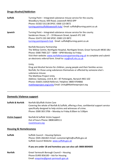## **Drugs Alcohol/Addiction**

| <b>Suffolk</b> | Turning Point - Integrated substance misuse service for the county.<br>Woodbury House, Mill Road, Lowestoft NR33 OPP<br>Phone: 01502 531138 SPOC: 0300 123 0872<br>turning-pointsuffolklowestoft-hub/ Email: suffolk@turning-point.co.uk                                                                                                                                                                       |
|----------------|----------------------------------------------------------------------------------------------------------------------------------------------------------------------------------------------------------------------------------------------------------------------------------------------------------------------------------------------------------------------------------------------------------------|
| Ipswich        | Turning Point - Integrated substance misuse service for the county.<br>Sanderson House, 17 - 19 Museum Street, Ipswich IP1 1HE<br>Phone: 01473 220 240 SPOC: 0300 123 0872<br>turning-pointipswich-hub Email: suffolk@turning-point.co.uk                                                                                                                                                                      |
| <b>Norfolk</b> | Norfolk Recovery Partnership<br>The Willow Centre, Northgate Hospital, Northgate Street, Great Yarmouth NR30 1BU<br>Phone: 0300 7900 227 - 8AM - 6PM Monday to Friday<br>Visit their website: www.norfolkrecoverypartnership.org.uk to complete and submit<br>an electronic referral form. Email to: nrp@nsft.nhs.co.uk                                                                                        |
|                | Unity<br>Drug and Alcohol Service for children, young people and their families across<br>Norfolk; for those using substances themselves or affected by someone else's<br>substance misuse.<br>The Matthew Project Unity<br>Address: Gateway, Unit 8, 83 - 87 Pottergate, Norwich NR2 1DZ<br>Phone: 01603 216420 Referral / Helpline: 0800 9704866<br>matthewproject.org/unity Email: Unity@Matthewproject.org |

## **Domestic Violence support**

**Suffolk & Norfolk** Norfolk &Suffolk Victim Care Covering the whole of Norfolk & Suffolk, offering a free, confidential support service specifically designed to help victims and witnesses of crime. Phone: 0300 303 3706 – Monday to Friday 8.00am to 5:00pm

\_\_\_\_\_\_\_\_\_\_\_\_\_\_\_\_\_\_\_\_\_\_\_\_\_\_\_\_\_\_\_\_\_\_\_\_\_\_\_\_\_\_\_\_\_\_\_\_\_\_\_\_\_\_\_\_\_\_\_\_\_\_\_\_\_\_\_\_\_\_\_\_\_\_\_\_\_\_\_\_\_\_\_\_\_\_\_

**Victim Support** Norfolk & Suffolk Victim Support Out of hours Phone: 08081689111 [nsvictimcare.org](https://www.nsvictimcare.org/)

#### **Housing & Homelessness**

| <b>Suffolk</b> | Suffolk Council - Housing Options<br>Phone: 0345 2661821 Email: customerrights@suffolk.gov.uk<br>Suffolk Council Website: www.suffolk.gov.uk |
|----------------|----------------------------------------------------------------------------------------------------------------------------------------------|
|                | If you are under 18 and homeless you can also call: 0808 8004005                                                                             |
| <b>Norfolk</b> | Great Yarmouth Borough Council - Housing<br>Phone 01493 856100 $-$ Ask for Housing<br>Email: enquiries@great-yarmouth.gov.uk                 |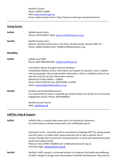Norwich Council Phone: 01603 213000 Web: [www.norwich.gov.uk](http://www.norwich.gov.uk/) Access online contact forms: https://www.norwich.gov.uk/contactusform

\_\_\_\_\_\_\_\_\_\_\_\_\_\_\_\_\_\_\_\_\_\_\_\_\_\_\_\_\_\_\_\_\_\_\_\_\_\_\_\_\_\_\_\_\_\_\_\_\_\_\_\_\_\_\_\_\_\_\_\_\_\_\_\_\_\_\_\_\_\_\_\_\_\_\_\_\_\_\_\_\_\_\_\_\_

# **Young Carers**

| <b>Suffolk</b>    | <b>Suffolk Family Carers</b><br>Phone: 01473 835477 Web: https://suffolkfamilycarers.org/                                                                                                                                                                                                                                                                                                                                |
|-------------------|--------------------------------------------------------------------------------------------------------------------------------------------------------------------------------------------------------------------------------------------------------------------------------------------------------------------------------------------------------------------------------------------------------------------------|
| <b>Norfolk</b>    | <b>Norfolk Family Carers</b><br>Address: Norfolk Family Carers, First Floor, 36 Giles Street, Norwich NR2 1LL<br>Phone: 01603 561666 Email: info@norfolkfamilycarers.org                                                                                                                                                                                                                                                 |
| <b>Disability</b> |                                                                                                                                                                                                                                                                                                                                                                                                                          |
| <b>Suffolk</b>    | <b>Suffolk Local Offer</b><br>Phone: 0345 6061490 Web: infolink.suffolk.gov.uk                                                                                                                                                                                                                                                                                                                                           |
|                   | <b>Information Advice &amp; Support Services Network</b><br>A telephone helpline service, information and support for parents, carers, children<br>and young people. We provide written information, which is available online via our<br>web site, and face to face information sessions.<br>Monday to Friday 9:00am - 5:00pm<br>Phone: 01473 265210 Text: ADVICE4ME to 87007<br>Email: enquiries@suffolksendiass.co.uk |
| <b>Norfolk</b>    | Norfolk Learning Disability Service<br>If an assessment of needs is required you should contact the Social Care Community<br>Engagement (SCCE). Phone: 0344 8008020                                                                                                                                                                                                                                                      |
|                   | <b>Norfolk County Council</b><br>Web: norfolk.gov.uk                                                                                                                                                                                                                                                                                                                                                                     |

# **LGBTQI+ Help & Support**

| <b>Suffolk</b> | Suffolk Pride is a county wide event and is run entirely by volunteers.<br>For information on all upcoming events visit suffolkpride.org.uk.                                                                                                                                                                                                                                                        |  |
|----------------|-----------------------------------------------------------------------------------------------------------------------------------------------------------------------------------------------------------------------------------------------------------------------------------------------------------------------------------------------------------------------------------------------------|--|
|                | Out Reach Youth – Outreach youth is committed to enabling LGBT*Q+ young people<br>and their peers, to realise their unique potential and to take a positive role in<br>society, through their involvement and participation in social and informal education<br>youth work opportunities.<br>Phone or Text: 07999 730289 Email: info@outreachyouth.org.uk<br>Visit their page: outreachyouth.org.uk |  |
| <b>Norfolk</b> | Norfolk's LGBT+ project's continued mission is to improve the health and wellbeing<br>of LGBT+ people of all ages and communities in Norfolk and Waveney. They want to                                                                                                                                                                                                                              |  |

\_\_\_\_\_\_\_\_\_\_\_\_\_\_\_\_\_\_\_\_\_\_\_\_\_\_\_\_\_\_\_\_\_\_\_\_\_\_\_\_\_\_\_\_\_\_\_\_\_\_\_\_\_\_\_\_\_\_\_\_\_\_\_\_\_\_\_\_\_\_\_\_\_\_\_\_\_\_\_\_\_\_\_\_\_\_\_